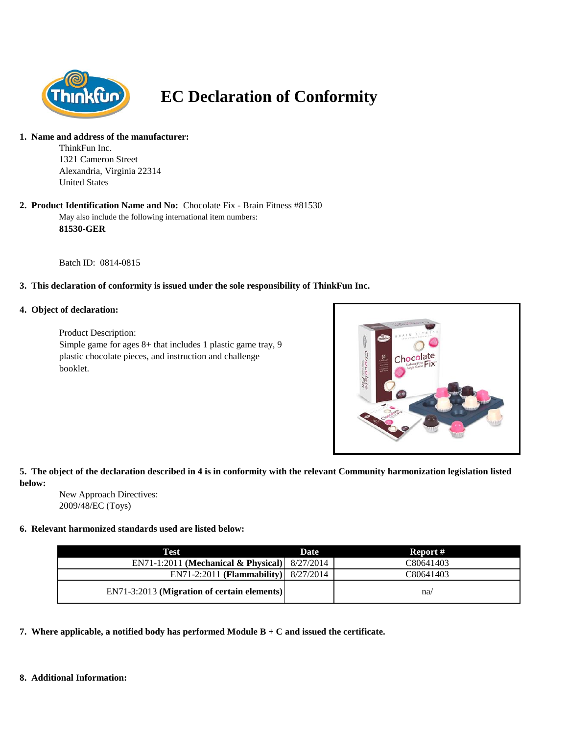

# **EC Declaration of Conformity**

#### **1. Name and address of the manufacturer:**

ThinkFun Inc. 1321 Cameron Street Alexandria, Virginia 22314 United States

#### May also include the following international item numbers: **81530-GER 2. Product Identification Name and No:** Chocolate Fix - Brain Fitness #81530

Batch ID: 0814-0815

## **3. This declaration of conformity is issued under the sole responsibility of ThinkFun Inc.**

### **4. Object of declaration:**

Product Description: Simple game for ages 8+ that includes 1 plastic game tray, 9 plastic chocolate pieces, and instruction and challenge booklet.



## **5. The object of the declaration described in 4 is in conformity with the relevant Community harmonization legislation listed below:**

New Approach Directives: 2009/48/EC (Toys)

### **6. Relevant harmonized standards used are listed below:**

| Test                                            | Date | Report #  |
|-------------------------------------------------|------|-----------|
| EN71-1:2011 (Mechanical & Physical) $8/27/2014$ |      | C80641403 |
| $EN71-2:2011$ (Flammability) $8/27/2014$        |      | C80641403 |
| EN71-3:2013 (Migration of certain elements)     |      | na/       |

**7. Where applicable, a notified body has performed Module B + C and issued the certificate.**

#### **8. Additional Information:**